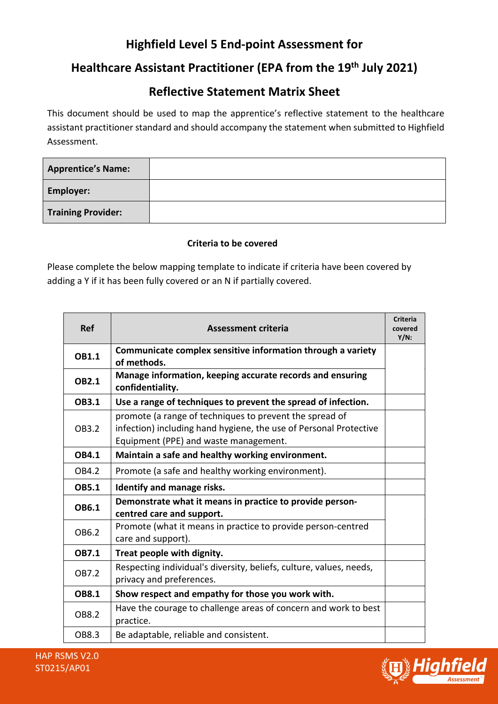# **Highfield Level 5 End-point Assessment for**

## **Healthcare Assistant Practitioner (EPA from the 19th July 2021)**

### **Reflective Statement Matrix Sheet**

This document should be used to map the apprentice's reflective statement to the healthcare assistant practitioner standard and should accompany the statement when submitted to Highfield Assessment.

| <b>Apprentice's Name:</b> |  |
|---------------------------|--|
| <b>Employer:</b>          |  |
| <b>Training Provider:</b> |  |

### **Criteria to be covered**

Please complete the below mapping template to indicate if criteria have been covered by adding a Y if it has been fully covered or an N if partially covered.

| <b>Ref</b>   | <b>Assessment criteria</b>                                                                                                                                            | <b>Criteria</b><br>covered<br>$Y/N$ : |
|--------------|-----------------------------------------------------------------------------------------------------------------------------------------------------------------------|---------------------------------------|
| <b>OB1.1</b> | Communicate complex sensitive information through a variety<br>of methods.                                                                                            |                                       |
| <b>OB2.1</b> | Manage information, keeping accurate records and ensuring<br>confidentiality.                                                                                         |                                       |
| <b>OB3.1</b> | Use a range of techniques to prevent the spread of infection.                                                                                                         |                                       |
| OB3.2        | promote (a range of techniques to prevent the spread of<br>infection) including hand hygiene, the use of Personal Protective<br>Equipment (PPE) and waste management. |                                       |
| <b>OB4.1</b> | Maintain a safe and healthy working environment.                                                                                                                      |                                       |
| OB4.2        | Promote (a safe and healthy working environment).                                                                                                                     |                                       |
| <b>OB5.1</b> | Identify and manage risks.                                                                                                                                            |                                       |
| OB6.1        | Demonstrate what it means in practice to provide person-<br>centred care and support.                                                                                 |                                       |
| OB6.2        | Promote (what it means in practice to provide person-centred<br>care and support).                                                                                    |                                       |
| <b>OB7.1</b> | Treat people with dignity.                                                                                                                                            |                                       |
| OB7.2        | Respecting individual's diversity, beliefs, culture, values, needs,<br>privacy and preferences.                                                                       |                                       |
| <b>OB8.1</b> | Show respect and empathy for those you work with.                                                                                                                     |                                       |
| OB8.2        | Have the courage to challenge areas of concern and work to best<br>practice.                                                                                          |                                       |
| OB8.3        | Be adaptable, reliable and consistent.                                                                                                                                |                                       |